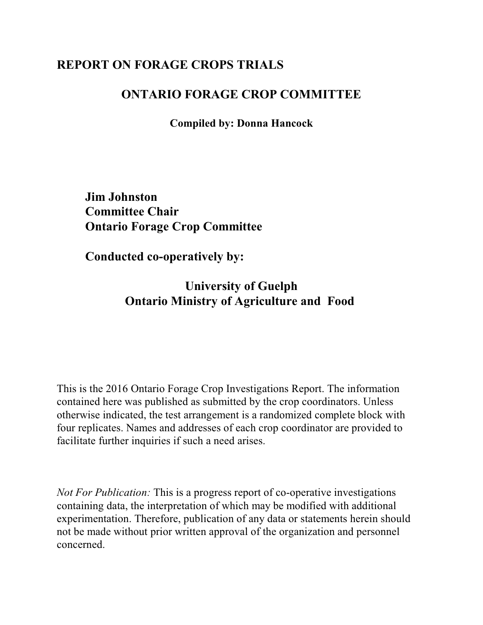## **REPORT ON FORAGE CROPS TRIALS**

#### **ONTARIO FORAGE CROP COMMITTEE**

**Compiled by: Donna Hancock**

**Jim Johnston Committee Chair Ontario Forage Crop Committee**

**Conducted co-operatively by:**

**University of Guelph Ontario Ministry of Agriculture and Food** 

This is the 2016 Ontario Forage Crop Investigations Report. The information contained here was published as submitted by the crop coordinators. Unless otherwise indicated, the test arrangement is a randomized complete block with four replicates. Names and addresses of each crop coordinator are provided to facilitate further inquiries if such a need arises.

*Not For Publication:* This is a progress report of co-operative investigations containing data, the interpretation of which may be modified with additional experimentation. Therefore, publication of any data or statements herein should not be made without prior written approval of the organization and personnel concerned.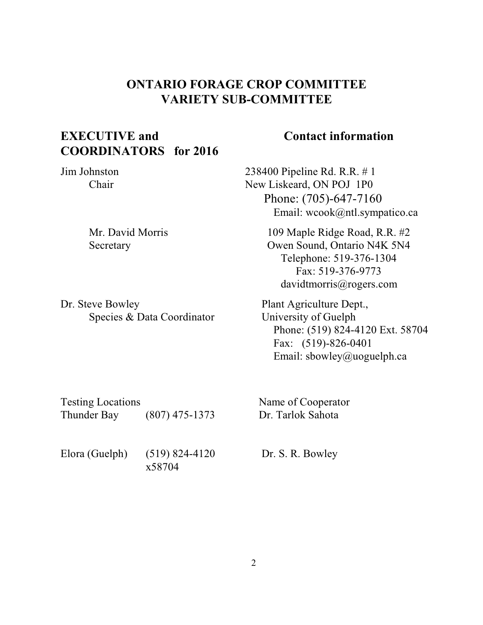### **ONTARIO FORAGE CROP COMMITTEE VARIETY SUB-COMMITTEE**

### **EXECUTIVE and COORDINATORS for 2016**

#### **Contact information**

Jim Johnston Chair

> Mr. David Morris Secretary

Dr. Steve Bowley Species & Data Coordinator 238400 Pipeline Rd. R.R. # 1 New Liskeard, ON POJ 1P0 Phone: (705)-647-7160 Email: wcook@ntl.sympatico.ca

> 109 Maple Ridge Road, R.R. #2 Owen Sound, Ontario N4K 5N4 Telephone: 519-376-1304 Fax: 519-376-9773 davidtmorris@rogers.com

 Plant Agriculture Dept., University of Guelph Phone: (519) 824-4120 Ext. 58704 Fax: (519)-826-0401 Email: sbowley@uoguelph.ca

| <b>Testing Locations</b><br>Thunder Bay | $(807)$ 475-1373             | Name of Cooperator<br>Dr. Tarlok Sahota |
|-----------------------------------------|------------------------------|-----------------------------------------|
| Elora (Guelph)                          | $(519) 824 - 4120$<br>x58704 | Dr. S. R. Bowley                        |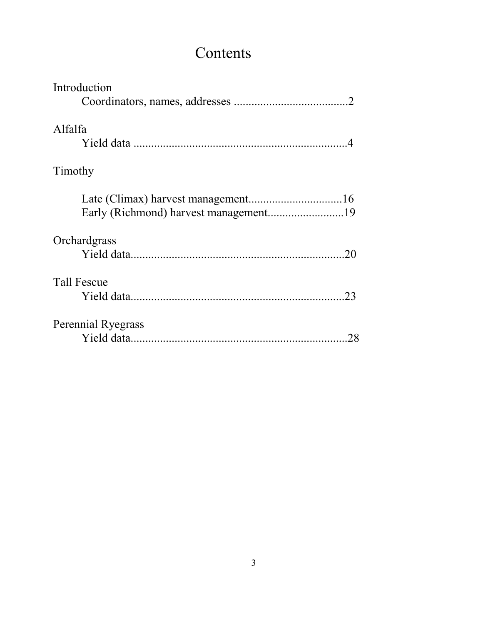# Contents

| Introduction                          |
|---------------------------------------|
|                                       |
| Alfalfa                               |
|                                       |
| Timothy                               |
| Early (Richmond) harvest management19 |
| Orchardgrass                          |
|                                       |
| <b>Tall Fescue</b>                    |
|                                       |
| <b>Perennial Ryegrass</b>             |
|                                       |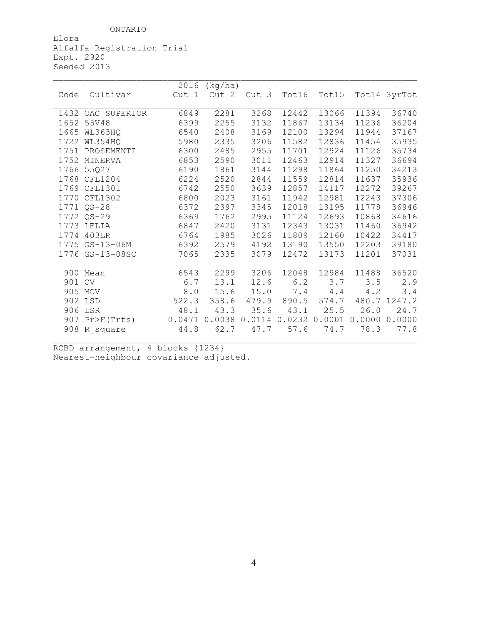ONTARIO

Elora Alfalfa Registration Trial Expt. 2920 Seeded 2013

|        |                   | 2016                                                   | (kg/ha)                 |           |               |           |             |              |
|--------|-------------------|--------------------------------------------------------|-------------------------|-----------|---------------|-----------|-------------|--------------|
| Code   | Cultivar          |                                                        | Cut 1 Cut 2 Cut 3 Tot16 |           |               | Tot15     |             | Tot14 3yrTot |
|        |                   |                                                        |                         |           |               |           |             |              |
|        | 1432 OAC SUPERIOR | 6849                                                   | 2281                    | 3268      | 12442         | 13066     | 11394       | 36740        |
|        | 1652 55V48        | 6399                                                   | 2255                    | 3132      | 11867         | 13134     | 11236       | 36204        |
|        | 1665 WL363HQ      | 6540                                                   | 2408                    | 3169      | 12100         | 13294     | 11944       | 37167        |
|        | 1722 WL354HQ      | 5980                                                   | 2335                    | 3206      | 11582         | 12836     | 11454       | 35935        |
|        | 1751 PROSEMENTI   | 6300                                                   | 2485                    | 2955      | 11701         | 12924     | 11126       | 35734        |
|        | 1752 MINERVA      | 6853                                                   | 2590                    | 3011      | 12463         | 12914     | 11327       | 36694        |
|        | 1766 55Q27        | 6190                                                   | 1861                    | 3144      | 11298         | 11864     | 11250       | 34213        |
|        | 1768 CFL1204      | 6224                                                   | 2520                    | 2844      | 11559         | 12814     | 11637       | 35936        |
|        | 1769 CFL1301      | 6742                                                   | 2550                    | 3639      | 12857         | 14117     | 12272       | 39267        |
|        | 1770 CFL1302      | 6800                                                   | 2023                    | 3161      | 11942         | 12981     | 12243       | 37306        |
|        | 1771 QS-28        | 6372                                                   | 2397                    | 3345      | 12018         | 13195     | 11778       | 36946        |
|        | 1772 QS-29        | 6369                                                   | 1762                    | 2995      | 11124         | 12693     | 10868       | 34616        |
|        | 1773 LELIA        | 6847                                                   | 2420                    | 3131      | 12343         | 13031     | 11460       | 36942        |
|        | 1774 403LR        | 6764                                                   | 1985                    | 3026      | 11809         | 12160     | 10422       | 34417        |
|        | 1775 GS-13-06M    | 6392                                                   | 2579                    | 4192      | 13190         | 13550     | 12203       | 39180        |
|        | 1776 GS-13-08SC   | 7065                                                   | 2335                    | 3079      | 12472         | 13173     | 11201       | 37031        |
|        |                   |                                                        |                         |           |               |           |             |              |
|        | 900 Mean          | 6543                                                   | 2299                    | 3206      | 12048         | 12984     | 11488       | 36520        |
| 901 CV |                   | 6.7                                                    | 13.1                    |           | $12.6$ $6.2$  | 3.7       | 3.5         | 2.9          |
|        | 905 MCV           | 8.0                                                    | 15.6                    | 15.0      | 7.4           |           | $4.4$ $4.2$ | 3.4          |
|        | 522.3<br>902 LSD  |                                                        | 358.6                   |           | 479.9 890.5   | 574.7     |             | 480.7 1247.2 |
|        | 906 LSR           | 48.1                                                   | 43.3                    |           | $35.6$ $43.1$ | 25.5      | 26.0        | 24.7         |
|        | 907 Pr>F(Trts)    | 0.0471  0.0038  0.0114  0.0232  0.0001  0.0000  0.0000 |                         |           |               |           |             |              |
|        | 908 R square 44.8 |                                                        |                         | 62.7 47.7 |               | 57.6 74.7 | 78.3        | 77.8         |
|        |                   |                                                        |                         |           |               |           |             |              |

RCBD arrangement, 4 blocks {1234} Nearest-neighbour covariance adjusted.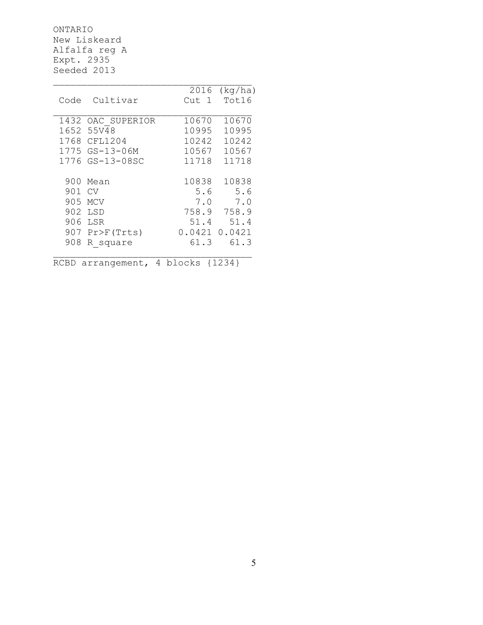ONTARIO New Liskeard Alfalfa reg A Expt. 2935 Seeded 2013

|      |                  | 2016             | (kq/ha) |
|------|------------------|------------------|---------|
| Code | Cultivar         | Cut <sub>1</sub> | Tot16   |
|      |                  |                  |         |
| 1432 | OAC SUPERIOR     | 10670            | 10670   |
| 1652 | 55V48            | 10995            | 10995   |
| 1768 | CFL1204          | 10242            | 10242   |
| 1775 | GS-13-06M        | 10567            | 10567   |
|      | 1776 GS-13-08SC  | 11718            | 11718   |
|      |                  |                  |         |
| 900  | Mean             | 10838            | 10838   |
| 901  | CV               | 5.6              | 5.6     |
| 905  | <b>MCV</b>       | 7.0              | 7.0     |
| 902  | LSD              | 758.9            | 758.9   |
| 906  | LSR              | 51.4             | 51.4    |
|      | $907$ Pr>F(Trts) | 0.0421           | 0.0421  |
| 908  | R square         | 61.3             | 61.3    |
|      |                  |                  |         |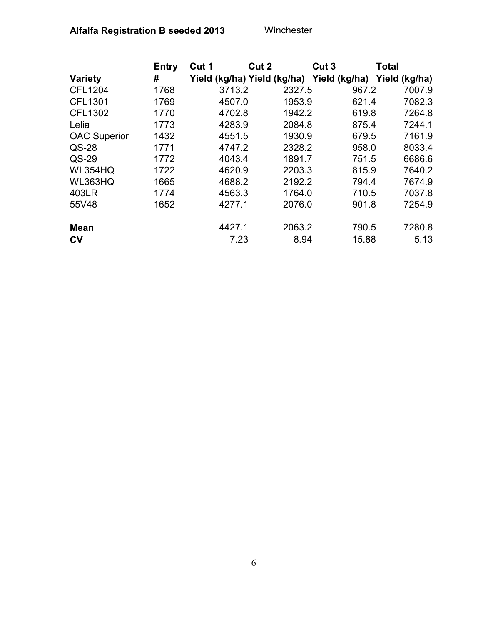|                     | <b>Entry</b> | Cut 1  | Cut 2<br>Cut <sub>3</sub>                 | <b>Total</b> |               |
|---------------------|--------------|--------|-------------------------------------------|--------------|---------------|
| <b>Variety</b>      | #            |        | Yield (kg/ha) Yield (kg/ha) Yield (kg/ha) |              | Yield (kg/ha) |
| <b>CFL1204</b>      | 1768         | 3713.2 | 2327.5                                    | 967.2        | 7007.9        |
| <b>CFL1301</b>      | 1769         | 4507.0 | 1953.9                                    | 621.4        | 7082.3        |
| <b>CFL1302</b>      | 1770         | 4702.8 | 1942.2                                    | 619.8        | 7264.8        |
| Lelia               | 1773         | 4283.9 | 2084.8                                    | 875.4        | 7244.1        |
| <b>OAC Superior</b> | 1432         | 4551.5 | 1930.9                                    | 679.5        | 7161.9        |
| $QS-28$             | 1771         | 4747.2 | 2328.2                                    | 958.0        | 8033.4        |
| QS-29               | 1772         | 4043.4 | 1891.7                                    | 751.5        | 6686.6        |
| <b>WL354HQ</b>      | 1722         | 4620.9 | 2203.3                                    | 815.9        | 7640.2        |
| WL363HQ             | 1665         | 4688.2 | 2192.2                                    | 794.4        | 7674.9        |
| 403LR               | 1774         | 4563.3 | 1764.0                                    | 710.5        | 7037.8        |
| 55V48               | 1652         | 4277.1 | 2076.0                                    | 901.8        | 7254.9        |
| <b>Mean</b>         |              | 4427.1 | 2063.2                                    | 790.5        | 7280.8        |
| CV                  |              | 7.23   | 8.94                                      | 15.88        | 5.13          |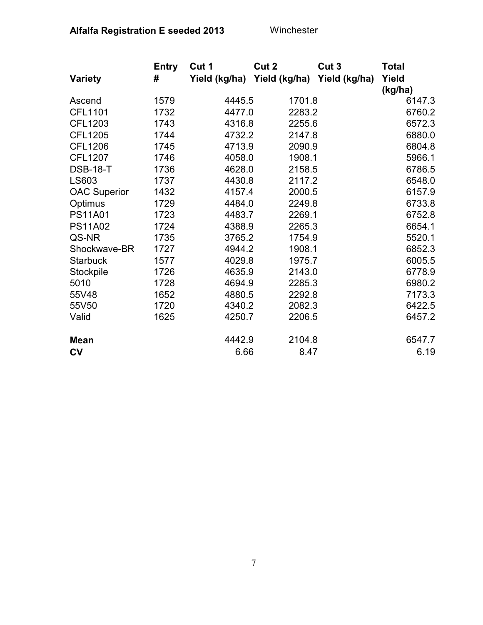|                     | <b>Entry</b> | Cut 1  | Cut 2  | Cut 3                                     | <b>Total</b> |
|---------------------|--------------|--------|--------|-------------------------------------------|--------------|
| <b>Variety</b>      | #            |        |        | Yield (kg/ha) Yield (kg/ha) Yield (kg/ha) | Yield        |
|                     |              |        |        |                                           | (kg/ha)      |
| Ascend              | 1579         | 4445.5 | 1701.8 |                                           | 6147.3       |
| <b>CFL1101</b>      | 1732         | 4477.0 | 2283.2 |                                           | 6760.2       |
| CFL1203             | 1743         | 4316.8 | 2255.6 |                                           | 6572.3       |
| <b>CFL1205</b>      | 1744         | 4732.2 | 2147.8 |                                           | 6880.0       |
| <b>CFL1206</b>      | 1745         | 4713.9 | 2090.9 |                                           | 6804.8       |
| <b>CFL1207</b>      | 1746         | 4058.0 | 1908.1 |                                           | 5966.1       |
| <b>DSB-18-T</b>     | 1736         | 4628.0 | 2158.5 |                                           | 6786.5       |
| LS603               | 1737         | 4430.8 | 2117.2 |                                           | 6548.0       |
| <b>OAC Superior</b> | 1432         | 4157.4 | 2000.5 |                                           | 6157.9       |
| Optimus             | 1729         | 4484.0 | 2249.8 |                                           | 6733.8       |
| <b>PS11A01</b>      | 1723         | 4483.7 | 2269.1 |                                           | 6752.8       |
| <b>PS11A02</b>      | 1724         | 4388.9 | 2265.3 |                                           | 6654.1       |
| QS-NR               | 1735         | 3765.2 | 1754.9 |                                           | 5520.1       |
| Shockwave-BR        | 1727         | 4944.2 | 1908.1 |                                           | 6852.3       |
| <b>Starbuck</b>     | 1577         | 4029.8 | 1975.7 |                                           | 6005.5       |
| Stockpile           | 1726         | 4635.9 | 2143.0 |                                           | 6778.9       |
| 5010                | 1728         | 4694.9 | 2285.3 |                                           | 6980.2       |
| 55V48               | 1652         | 4880.5 | 2292.8 |                                           | 7173.3       |
| 55V50               | 1720         | 4340.2 | 2082.3 |                                           | 6422.5       |
| Valid               | 1625         | 4250.7 | 2206.5 |                                           | 6457.2       |
| <b>Mean</b>         |              | 4442.9 | 2104.8 |                                           | 6547.7       |
| $c_{V}$             |              | 6.66   | 8.47   |                                           | 6.19         |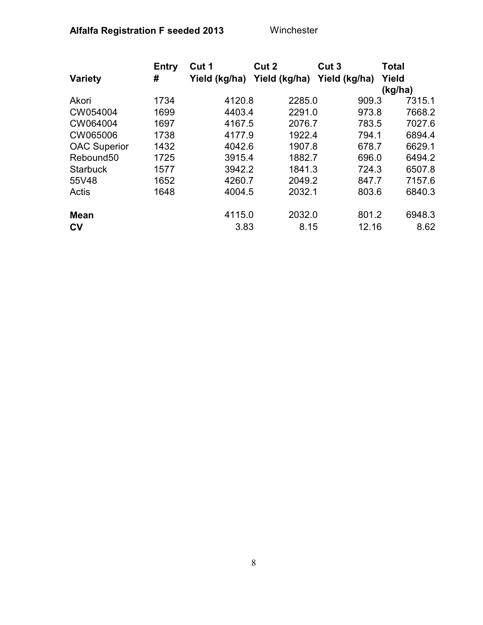|                       | <b>Entry</b> | Cut 1         | Cut 2         | Cut <sub>3</sub> | <b>Total</b> |
|-----------------------|--------------|---------------|---------------|------------------|--------------|
| <b>Variety</b>        | #            | Yield (kg/ha) | Yield (kg/ha) | Yield (kg/ha)    | Yield        |
|                       |              |               |               |                  | (kg/ha)      |
| Akori                 | 1734         | 4120.8        | 2285.0        | 909.3            | 7315.1       |
| CW054004              | 1699         | 4403.4        | 2291.0        | 973.8            | 7668.2       |
| CW064004              | 1697         | 4167.5        | 2076.7        | 783.5            | 7027.6       |
| CW065006              | 1738         | 4177.9        | 1922.4        | 794.1            | 6894.4       |
| <b>OAC Superior</b>   | 1432         | 4042.6        | 1907.8        | 678.7            | 6629.1       |
| Rebound <sub>50</sub> | 1725         | 3915.4        | 1882.7        | 696.0            | 6494.2       |
| <b>Starbuck</b>       | 1577         | 3942.2        | 1841.3        | 724.3            | 6507.8       |
| 55V48                 | 1652         | 4260.7        | 2049.2        | 847.7            | 7157.6       |
| Actis                 | 1648         | 4004.5        | 2032.1        | 803.6            | 6840.3       |
| <b>Mean</b>           |              | 4115.0        | 2032.0        | 801.2            | 6948.3       |
| $c_{V}$               |              | 3.83          | 8.15          | 12.16            | 8.62         |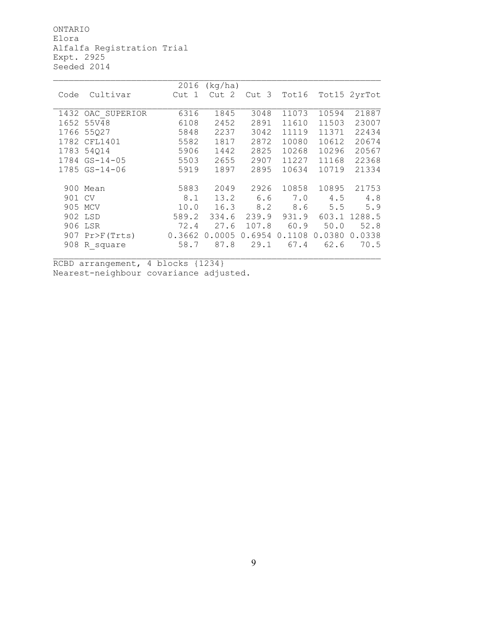ONTARIO Elora Alfalfa Registration Trial Expt. 2925 Seeded 2014

|        |                 | 2016   | (kg/ha)          |        |        |        |              |
|--------|-----------------|--------|------------------|--------|--------|--------|--------------|
| Code   | Cultivar        | Cut 1  | Cut <sub>2</sub> | Cut 3  | Tot16  |        | Tot15 2yrTot |
|        |                 |        |                  |        |        |        |              |
| 1432   | OAC SUPERIOR    | 6316   | 1845             | 3048   | 11073  | 10594  | 21887        |
| 1652   | 55V48           | 6108   | 2452             | 2891   | 11610  | 11503  | 23007        |
|        | 1766 55Q27      | 5848   | 2237             | 3042   | 11119  | 11371  | 22434        |
|        | 1782 CFL1401    | 5582   | 1817             | 2872   | 10080  | 10612  | 20674        |
|        | 1783 54014      | 5906   | 1442             | 2825   | 10268  | 10296  | 20567        |
|        | 1784 GS-14-05   | 5503   | 2655             | 2907   | 11227  | 11168  | 22368        |
|        | $1785$ GS-14-06 | 5919   | 1897             | 2895   | 10634  | 10719  | 21334        |
|        |                 |        |                  |        |        |        |              |
|        | 900 Mean        | 5883   | 2049             | 2926   | 10858  | 10895  | 21753        |
| 901 CV |                 | 8.1    | 13.2             | 6.6    | 7.0    | 4.5    | 4.8          |
|        | 905 MCV         | 10.0   | 16.3             | 8.2    | 8.6    | 5.5    | 5.9          |
|        | 902 LSD         | 589.2  | 334.6            | 239.9  | 931.9  | 603.1  | 1288.5       |
|        | 906 LSR         | 72.4   | 27.6             | 107.8  | 60.9   | 50.0   | 52.8         |
|        | 907 Pr>F(Trts)  | 0.3662 | 0.0005           | 0.6954 | 0.1108 | 0.0380 | 0.0338       |
| 908    | R square        | 58.7   | 87.8             | 29.1   | 67.4   | 62.6   | 70.5         |
|        |                 |        |                  |        |        |        |              |

RCBD arrangement, 4 blocks {1234} Nearest-neighbour covariance adjusted.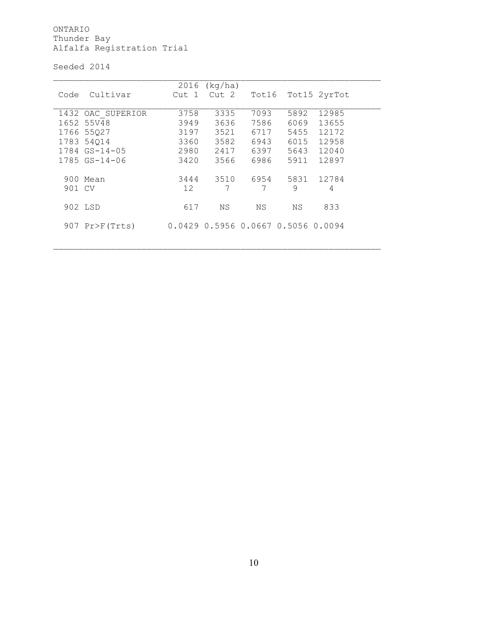ONTARIO Thunder Bay Alfalfa Registration Trial

Seeded 2014

|        |                   | 2016            | (kq/ha) |       |                                    |              |  |
|--------|-------------------|-----------------|---------|-------|------------------------------------|--------------|--|
| Code   | Cultivar          | Cut 1           | Cut 2   | Tot16 |                                    | Tot15 2yrTot |  |
|        |                   |                 |         |       |                                    |              |  |
|        | 1432 OAC SUPERIOR | 3758            | 3335    | 7093  | 5892                               | 12985        |  |
|        | 1652 55V48        | 3949            | 3636    | 7586  | 6069                               | 13655        |  |
|        | 1766 55027        | 3197            | 3521    | 6717  | 5455                               | 12172        |  |
|        | 1783 54014        | 3360            | 3582    | 6943  | 6015                               | 12958        |  |
|        | $1784$ GS-14-05   | 2980            | 2417    | 6397  | 5643                               | 12040        |  |
|        | $1785$ GS-14-06   | 3420            | 3566    | 6986  | 5911                               | 12897        |  |
|        |                   |                 |         |       |                                    |              |  |
|        | 900 Mean          | 3444            | 3510    | 6954  | 5831                               | 12784        |  |
| 901 CV |                   | 12 <sup>°</sup> | 7       | 7     | 9                                  | 4            |  |
|        |                   |                 |         |       |                                    |              |  |
|        | 902 LSD           | 617             | ΝS      | NS.   | ΝS                                 | 833          |  |
|        |                   |                 |         |       |                                    |              |  |
|        | $907$ Pr>F(Trts)  |                 |         |       | 0.0429 0.5956 0.0667 0.5056 0.0094 |              |  |
|        |                   |                 |         |       |                                    |              |  |
|        |                   |                 |         |       |                                    |              |  |

 $\_$  , and the set of the set of the set of the set of the set of the set of the set of the set of the set of the set of the set of the set of the set of the set of the set of the set of the set of the set of the set of th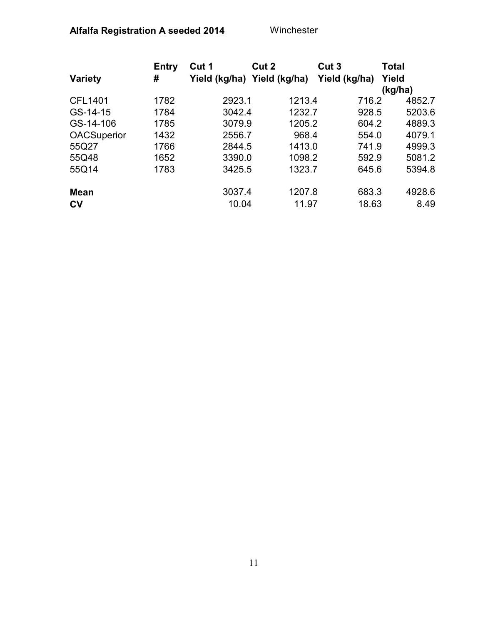|                    | <b>Entry</b> | Cut 1                       | Cut 2  | Cut <sub>3</sub> | <b>Total</b> |
|--------------------|--------------|-----------------------------|--------|------------------|--------------|
| <b>Variety</b>     | #            | Yield (kg/ha) Yield (kg/ha) |        | Yield (kg/ha)    | Yield        |
|                    |              |                             |        |                  | (kg/ha)      |
| <b>CFL1401</b>     | 1782         | 2923.1                      | 1213.4 | 716.2            | 4852.7       |
| GS-14-15           | 1784         | 3042.4                      | 1232.7 | 928.5            | 5203.6       |
| GS-14-106          | 1785         | 3079.9                      | 1205.2 | 604.2            | 4889.3       |
| <b>OACSuperior</b> | 1432         | 2556.7                      | 968.4  | 554.0            | 4079.1       |
| 55Q27              | 1766         | 2844.5                      | 1413.0 | 741.9            | 4999.3       |
| 55Q48              | 1652         | 3390.0                      | 1098.2 | 592.9            | 5081.2       |
| 55Q14              | 1783         | 3425.5                      | 1323.7 | 645.6            | 5394.8       |
| <b>Mean</b>        |              | 3037.4                      | 1207.8 | 683.3            | 4928.6       |
| c <sub>V</sub>     |              | 10.04                       | 11.97  | 18.63            | 8.49         |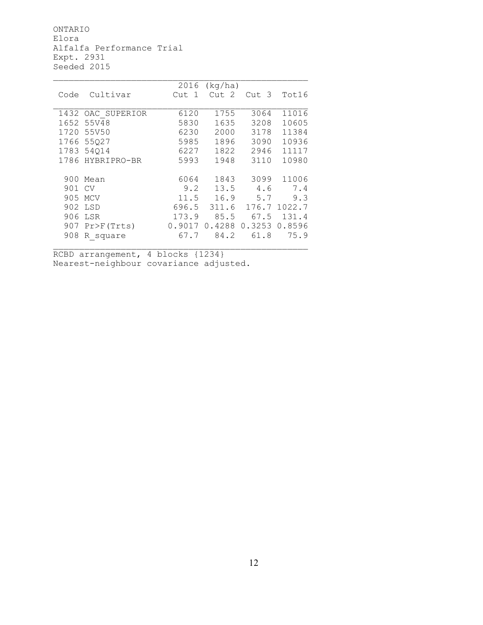ONTARIO Elora Alfalfa Performance Trial Expt. 2931 Seeded 2015

|        |                  | 2016   | (kq/ha)          |                  |        |
|--------|------------------|--------|------------------|------------------|--------|
| Code   | Cultivar         | Cut 1  | Cut <sub>2</sub> | Cut <sub>3</sub> | Tot16  |
|        |                  |        |                  |                  |        |
| 1432   | OAC SUPERIOR     | 6120   | 1755             | 3064             | 11016  |
| 1652   | 55V48            | 5830   | 1635             | 3208             | 10605  |
| 1720   | 55V50            | 6230   | 2000             | 3178             | 11384  |
|        | 1766 55027       | 5985   | 1896             | 3090             | 10936  |
|        | 1783 54014       | 6227   | 1822             | 2946             | 11117  |
|        | 1786 HYBRIPRO-BR | 5993   | 1948             | 3110             | 10980  |
|        |                  |        |                  |                  |        |
|        | 900 Mean         | 6064   | 1843             | 3099             | 11006  |
| 901 CV |                  | 9.2    | 13.5             | 4.6              | 7.4    |
|        | 905 MCV          | 11.5   | 16.9             | 5.7              | 9.3    |
| 902    | LSD              | 696.5  | 311.6            | 176.7            | 1022.7 |
| 906    | LSR              | 173.9  | 85.5             | 67.5             | 131.4  |
|        | $907$ Pr>F(Trts) | 0.9017 | 0.4288           | 0.3253           | 0.8596 |
| 908    | R square         | 67.7   | 84.2             | 61.8             | 75.9   |
|        |                  |        |                  |                  |        |

RCBD arrangement, 4 blocks {1234} Nearest-neighbour covariance adjusted.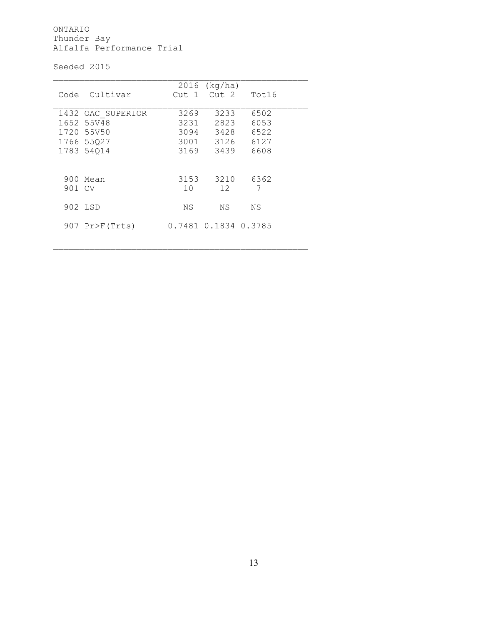ONTARIO Thunder Bay Alfalfa Performance Trial

Seeded 2015

|        | Code Cultivar                   |         | $2016$ (kg/ha)<br>Cut 1 Cut 2 | Tot16        |  |
|--------|---------------------------------|---------|-------------------------------|--------------|--|
|        | 1432 OAC SUPERIOR<br>1652 55V48 | 3269    | 3233                          | 6502         |  |
|        | 1720 55V50                      | 3231    | 2823<br>3094 3428             | 6053<br>6522 |  |
|        | 1766 55027                      |         | 3001 3126                     | 6127         |  |
|        | 1783 54014                      | 3169    | 3439                          | 6608         |  |
|        |                                 |         |                               |              |  |
|        | 900 Mean                        | 3153    | 3210                          | 6362         |  |
| 901 CV |                                 | $10 \,$ | 12 <sup>2</sup>               | 7            |  |
|        | 902 LSD                         | ΝS      | NS.                           | ΝS           |  |
|        | $907$ Pr>F(Trts)                |         | 0.7481 0.1834 0.3785          |              |  |

\_\_\_\_\_\_\_\_\_\_\_\_\_\_\_\_\_\_\_\_\_\_\_\_\_\_\_\_\_\_\_\_\_\_\_\_\_\_\_\_\_\_\_\_\_\_\_\_\_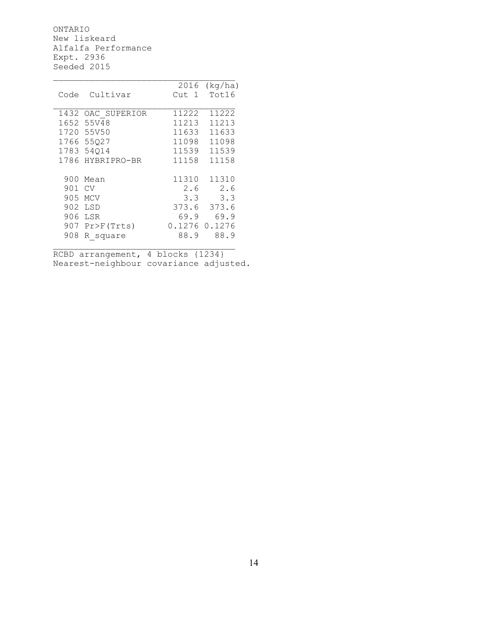ONTARIO New liskeard Alfalfa Performance Expt. 2936 Seeded 2015

|      |                  | 2016   | (kq/ha) |
|------|------------------|--------|---------|
| Code | Cultivar         | Cut 1  | Tot16   |
|      |                  |        |         |
| 1432 | OAC SUPERIOR     | 11222  | 11222   |
| 1652 | 55V48            | 11213  | 11213   |
| 1720 | 55V50            | 11633  | 11633   |
| 1766 | 55027            | 11098  | 11098   |
|      | 1783 54014       | 11539  | 11539   |
|      | 1786 HYBRIPRO-BR | 11158  | 11158   |
|      |                  |        |         |
| 900  | Mean             | 11310  | 11310   |
| 901  | CV               | 2.6    | 2.6     |
| 905  | <b>MCV</b>       | 3.3    | 3.3     |
| 902  | LSD              | 373.6  | 373.6   |
| 906  | LSR              | 69.9   | 69.9    |
|      | 907 Pr>F(Trts)   | 0.1276 | 0.1276  |
| 908  | R square         | 88.9   | 88.9    |
|      |                  |        |         |

RCBD arrangement, 4 blocks {1234} Nearest-neighbour covariance adjusted.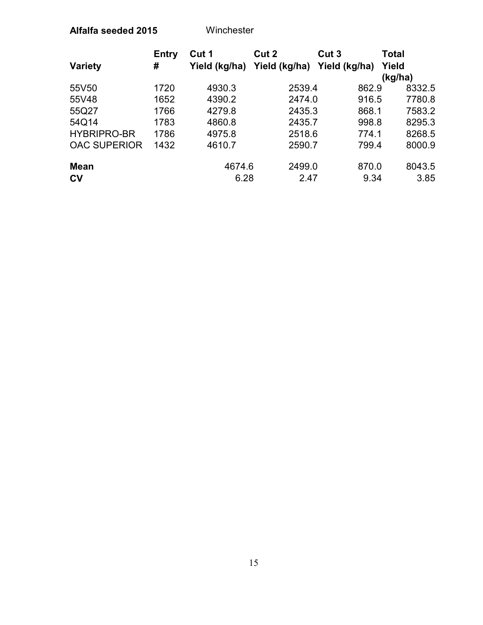#### **Alfalfa seeded 2015** Winchester

|                     | Entry | Cut 1         | Cut 2         | Cut <sub>3</sub> | Total   |
|---------------------|-------|---------------|---------------|------------------|---------|
| <b>Variety</b>      | #     | Yield (kg/ha) | Yield (kg/ha) | Yield (kg/ha)    | Yield   |
|                     |       |               |               |                  | (kg/ha) |
| 55V50               | 1720  | 4930.3        | 2539.4        | 862.9            | 8332.5  |
| 55V48               | 1652  | 4390.2        | 2474.0        | 916.5            | 7780.8  |
| 55Q27               | 1766  | 4279.8        | 2435.3        | 868.1            | 7583.2  |
| 54Q14               | 1783  | 4860.8        | 2435.7        | 998.8            | 8295.3  |
| <b>HYBRIPRO-BR</b>  | 1786  | 4975.8        | 2518.6        | 774.1            | 8268.5  |
| <b>OAC SUPERIOR</b> | 1432  | 4610.7        | 2590.7        | 799.4            | 8000.9  |
| <b>Mean</b>         |       | 4674.6        | 2499.0        | 870.0            | 8043.5  |
| c <sub>V</sub>      |       | 6.28          | 2.47          | 9.34             | 3.85    |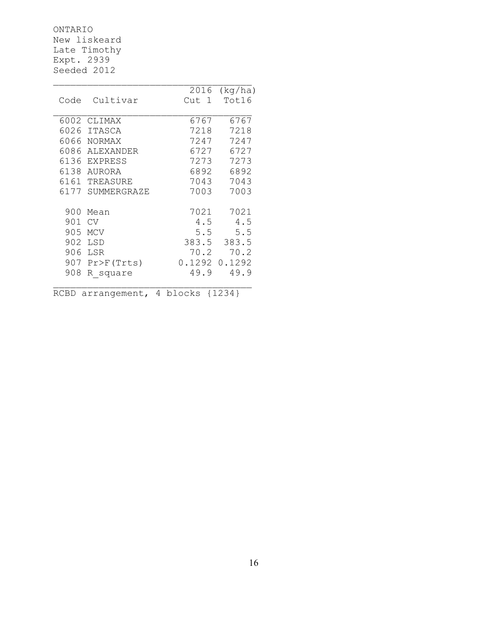ONTARIO New liskeard Late Timothy Expt. 2939 Seeded 2012

|      |                  | 2016<br>(kq/ha)  |
|------|------------------|------------------|
| Code | Cultivar         | Tot16<br>Cut 1   |
|      |                  |                  |
| 6002 | CLIMAX           | 6767<br>6767     |
| 6026 | <b>ITASCA</b>    | 7218<br>7218     |
|      | 6066 NORMAX      | 7247<br>7247     |
| 6086 | ALEXANDER        | 6727<br>6727     |
|      | 6136 EXPRESS     | 7273<br>7273     |
|      | 6138 AURORA      | 6892<br>6892     |
|      | 6161 TREASURE    | 7043<br>7043     |
|      | 6177 SUMMERGRAZE | 7003<br>7003     |
|      |                  |                  |
| 900  | Mean             | 7021<br>7021     |
| 901  | CV               | 4.5<br>4.5       |
| 905  | <b>MCV</b>       | 5.5<br>5.5       |
| 902  | LSD              | 383.5<br>383.5   |
| 906  | LSR              | 70.2<br>70.2     |
|      | 907 Pr>F(Trts)   | 0.1292<br>0.1292 |
| 908  | R square         | 49.9<br>49.9     |
|      |                  |                  |
| RCBD | arrangement,     | 4 blocks {1234}  |

 $\mathcal{L}_\text{max}$ 

16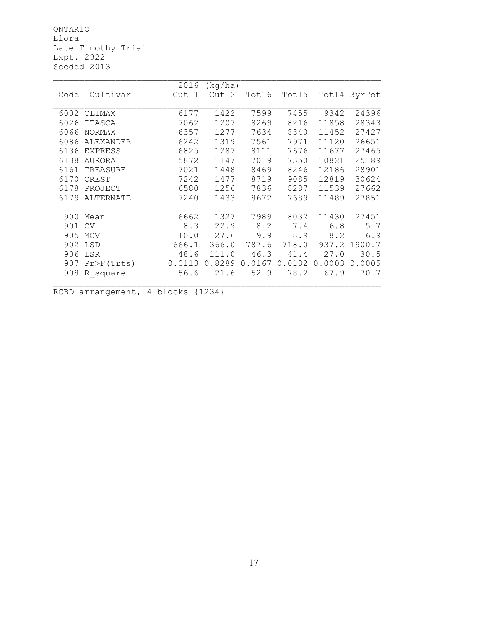ONTARIO Elora Late Timothy Trial Expt. 2922 Seeded 2013

|        |                  | 2016   | (kg/ha) |        |        |        |              |
|--------|------------------|--------|---------|--------|--------|--------|--------------|
| Code   | Cultivar         | Cut 1  | Cut 2   | Tot16  | Tot15  |        | Tot14 3yrTot |
|        |                  |        |         |        |        |        |              |
|        | 6002 CLIMAX      | 6177   | 1422    | 7599   | 7455   | 9342   | 24396        |
| 6026   | ITASCA           | 7062   | 1207    | 8269   | 8216   | 11858  | 28343        |
| 6066   | <b>NORMAX</b>    | 6357   | 1277    | 7634   | 8340   | 11452  | 27427        |
| 6086   | ALEXANDER        | 6242   | 1319    | 7561   | 7971   | 11120  | 26651        |
| 6136   | <b>EXPRESS</b>   | 6825   | 1287    | 8111   | 7676   | 11677  | 27465        |
| 6138   | AURORA           | 5872   | 1147    | 7019   | 7350   | 10821  | 25189        |
| 6161   | TREASURE         | 7021   | 1448    | 8469   | 8246   | 12186  | 28901        |
| 6170   | CREST            | 7242   | 1477    | 8719   | 9085   | 12819  | 30624        |
| 6178   | PROJECT          | 6580   | 1256    | 7836   | 8287   | 11539  | 27662        |
| 6179   | <b>ALTERNATE</b> | 7240   | 1433    | 8672   | 7689   | 11489  | 27851        |
|        |                  |        |         |        |        |        |              |
|        | 900 Mean         | 6662   | 1327    | 7989   | 8032   | 11430  | 27451        |
| 901 CV |                  | 8.3    | 22.9    | 8.2    | 7.4    | 6.8    | 5.7          |
|        | 905 MCV          | 10.0   | 27.6    | 9.9    | 8.9    | 8.2    | 6.9          |
|        | 902 LSD          | 666.1  | 366.0   | 787.6  | 718.0  |        | 937.2 1900.7 |
|        | 906 LSR          | 48.6   | 111.0   | 46.3   | 41.4   | 27.0   | 30.5         |
|        | 907 Pr>F(Trts)   | 0.0113 | 0.8289  | 0.0167 | 0.0132 | 0.0003 | 0.0005       |
|        | 908 R square     | 56.6   | 21.6    | 52.9   | 78.2   | 67.9   | 70.7         |
|        |                  |        |         |        |        |        |              |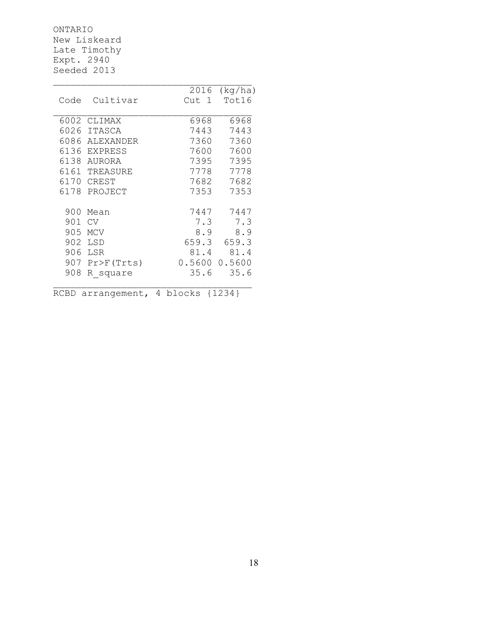ONTARIO New Liskeard Late Timothy Expt. 2940 Seeded 2013

|      |                | 2016<br>(kg/ha)    |
|------|----------------|--------------------|
| Code | Cultivar       | Tot16<br>Cut 1     |
|      |                |                    |
| 6002 | CLIMAX         | 6968<br>6968       |
| 6026 | <b>ITASCA</b>  | 7443<br>7443       |
| 6086 | ALEXANDER      | 7360<br>7360       |
|      | 6136 EXPRESS   | 7600<br>7600       |
|      | 6138 AURORA    | 7395<br>7395       |
|      | 6161 TREASURE  | 7778<br>7778       |
| 6170 | CREST          | 7682<br>7682       |
|      | 6178 PROJECT   | 7353<br>7353       |
|      |                |                    |
| 900  | Mean           | 7447<br>7447       |
| 901  | CV             | 7.3<br>7.3         |
| 905  | <b>MCV</b>     | 8.9<br>8.9         |
| 902  | LSD            | 659.3<br>659.3     |
| 906  | LSR            | 81.4<br>81.4       |
|      | 907 Pr>F(Trts) | 0.5600<br>0.5600   |
| 908  | R square       | 35.6<br>35.6       |
|      |                |                    |
| RCBD | arrangement,   | 4<br>blocks {1234} |

 $\mathcal{L}_\text{max}$ 

18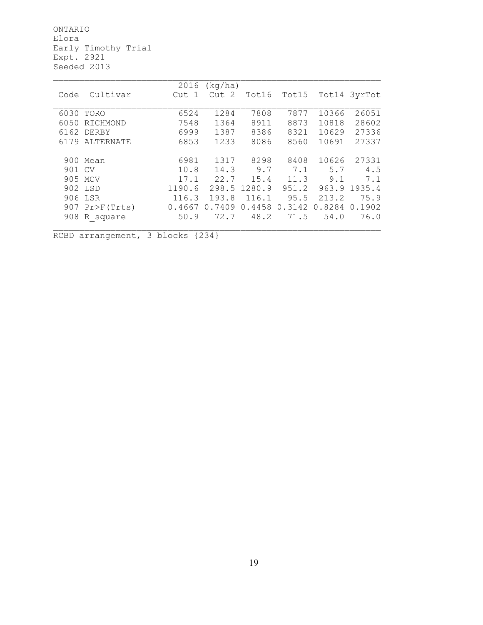ONTARIO Elora Early Timothy Trial Expt. 2921 Seeded 2013

|        |                  | 2016   | (kq/ha) |              |        |        |              |
|--------|------------------|--------|---------|--------------|--------|--------|--------------|
| Code   | Cultivar         | Cut 1  | Cut 2   | Tot16        | Tot15  |        | Tot14 3yrTot |
|        |                  |        |         |              |        |        |              |
| 6030   | TORO             | 6524   | 1284    | 7808         | 7877   | 10366  | 26051        |
| 6050   | RICHMOND         | 7548   | 1364    | 8911         | 8873   | 10818  | 28602        |
|        | 6162 DERBY       | 6999   | 1387    | 8386         | 8321   | 10629  | 27336        |
|        | 6179 ALTERNATE   | 6853   | 1233    | 8086         | 8560   | 10691  | 27337        |
|        |                  |        |         |              |        |        |              |
|        | 900 Mean         | 6981   | 1317    | 8298         | 8408   | 10626  | 27331        |
| 901 CV |                  | 10.8   | 14.3    | 9.7          | 7.1    | 5.7    | 4.5          |
|        | 905 MCV          | 17.1   | 22.7    | 15.4         | 11.3   | 9.1    | 7.1          |
|        | 902 LSD          | 1190.6 |         | 298.5 1280.9 | 951.2  | 963.9  | 1935.4       |
|        | 906 LSR          | 116.3  | 193.8   | 116.1        | 95.5   | 213.2  | 75.9         |
|        | $907$ Pr>F(Trts) | 0.4667 | 0.7409  | 0.4458       | 0.3142 | 0.8284 | 0.1902       |
|        | 908 R square     | 50.9   | 72.7    | 48.2         | 71.5   | 54.0   | 76.0         |
|        |                  |        |         |              |        |        |              |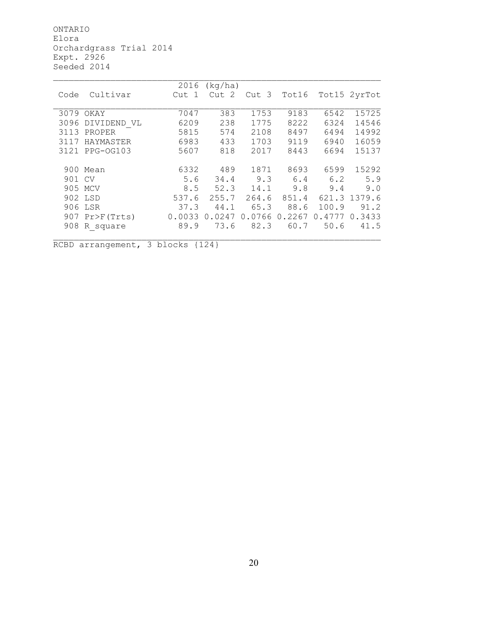ONTARIO Elora Orchardgrass Trial 2014 Expt. 2926 Seeded 2014

|        |                  | 2016   | (kq/ha)          |        |        |        |              |
|--------|------------------|--------|------------------|--------|--------|--------|--------------|
| Code   | Cultivar         | Cut 1  | Cut <sub>2</sub> | Cut 3  | Tot16  |        | Tot15 2yrTot |
|        |                  |        |                  |        |        |        |              |
|        | 3079 OKAY        | 7047   | 383              | 1753   | 9183   | 6542   | 15725        |
| 3096   | DIVIDEND VL      | 6209   | 238              | 1775   | 8222   | 6324   | 14546        |
| 3113   | PROPER           | 5815   | 574              | 2108   | 8497   | 6494   | 14992        |
| 3117   | HAYMASTER        | 6983   | 433              | 1703   | 9119   | 6940   | 16059        |
|        | 3121 PPG-0G103   | 5607   | 818              | 2017   | 8443   | 6694   | 15137        |
|        |                  |        |                  |        |        |        |              |
|        | 900 Mean         | 6332   | 489              | 1871   | 8693   | 6599   | 15292        |
| 901 CV |                  | 5.6    | 34.4             | 9.3    | 6.4    | 6.2    | 5.9          |
|        | 905 MCV          | 8.5    | 52.3             | 14.1   | 9.8    | 9.4    | 9.0          |
|        | 902 LSD          | 537.6  | 255.7            | 264.6  | 851.4  |        | 621.3 1379.6 |
|        | 906 LSR          | 37.3   | 44.1             | 65.3   | 88.6   | 100.9  | 91.2         |
|        | $907$ Pr>F(Trts) | 0.0033 | 0.0247           | 0.0766 | 0.2267 | 0.4777 | 0.3433       |
|        | 908 R square     | 89.9   | 73.6             | 82.3   | 60.7   | 50.6   | 41.5         |
|        |                  |        |                  |        |        |        |              |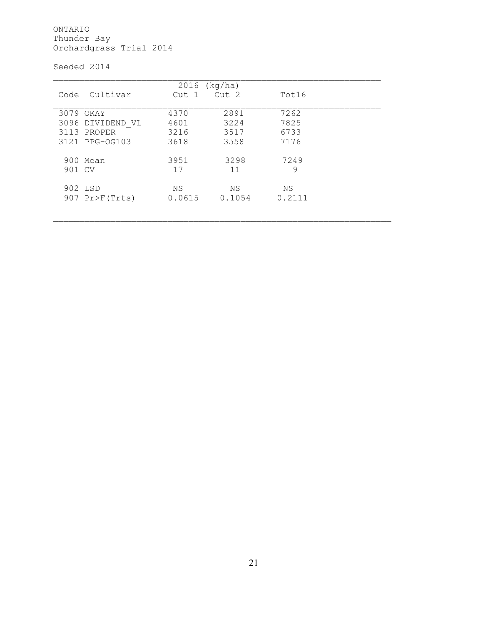ONTARIO Thunder Bay Orchardgrass Trial 2014

Seeded 2014

|        |                  | $2016$ (kg/ha)   |                  |        |
|--------|------------------|------------------|------------------|--------|
| Code   | Cultivar         | Cut <sub>1</sub> | Cut <sub>2</sub> | Tot16  |
|        |                  |                  |                  |        |
|        | 3079 OKAY        | 4370             | 2891             | 7262   |
|        | 3096 DIVIDEND VL | 4601             | 3224             | 7825   |
|        | 3113 PROPER      | 3216             | 3517             | 6733   |
|        | 3121 PPG-0G103   | 3618             | 3558             | 7176   |
|        |                  |                  |                  |        |
|        | 900 Mean         | 3951             | 3298             | 7249   |
| 901 CV |                  | 17               | 11               | 9      |
|        |                  |                  |                  |        |
|        | 902 LSD          | ΝS               | ΝS               | NS.    |
|        | $907$ Pr>F(Trts) | 0.0615           | 0.1054           | 0.2111 |
|        |                  |                  |                  |        |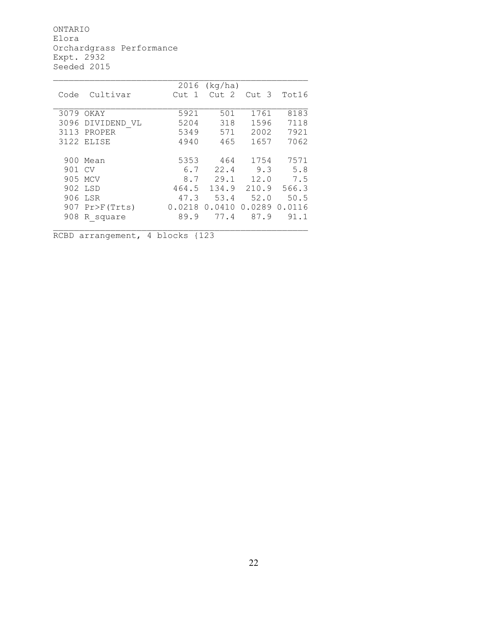ONTARIO Elora Orchardgrass Performance Expt. 2932 Seeded 2015

|        |                | 2016       | (kq/ha) |        |        |
|--------|----------------|------------|---------|--------|--------|
| Code   | Cultivar       | -1<br>Cut. | Cut 2   | Cut 3  | Tot16  |
|        |                |            |         |        |        |
| 3079   | OKAY           | 5921       | 501     | 1761   | 8183   |
| 3096   | DIVIDEND VL    | 5204       | 318     | 1596   | 7118   |
|        | 3113 PROPER    | 5349       | 571     | 2002   | 7921   |
|        | 3122 ELISE     | 4940       | 465     | 1657   | 7062   |
|        |                |            |         |        |        |
|        | 900 Mean       | 5353       | 464     | 1754   | 7571   |
| 901 CV |                | 6.7        | 22.4    | 9.3    | 5.8    |
|        | 905 MCV        | 8.7        | 29.1    | 12.0   | 7.5    |
|        | 902 LSD        | 464.5      | 134.9   | 210.9  | 566.3  |
|        | 906 LSR        | 47.3       | 53.4    | 52.0   | 50.5   |
|        | 907 Pr>F(Trts) | 0.0218     | 0.0410  | 0.0289 | 0.0116 |
| 908    | R square       | 89.9       | 77.4    | 87.9   | 91.1   |
|        |                |            |         |        |        |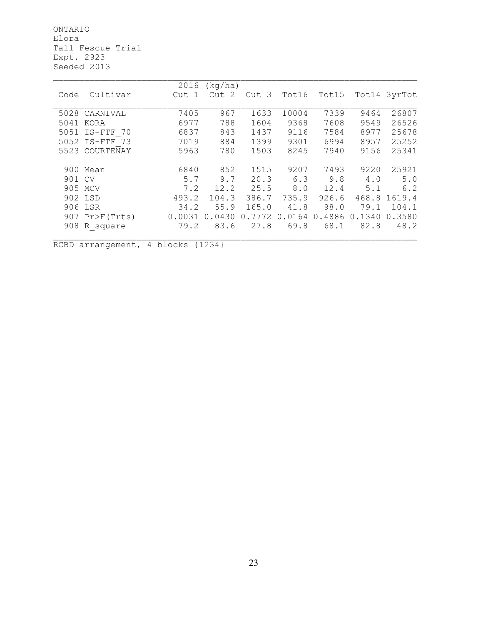ONTARIO Elora Tall Fescue Trial Expt. 2923 Seeded 2013

|        |                  | 2016   | (kq/ha)          |                  |        |        |        |              |
|--------|------------------|--------|------------------|------------------|--------|--------|--------|--------------|
| Code   | Cultivar         | Cut    | Cut <sub>2</sub> | Cut <sub>3</sub> | Tot16  | Tot15  |        | Tot14 3yrTot |
|        | 5028 CARNIVAL    | 7405   | 967              | 1633             | 10004  | 7339   | 9464   | 26807        |
| 5041   | KORA             | 6977   | 788              | 1604             | 9368   | 7608   | 9549   | 26526        |
| 5051   | $IS - FTF$<br>70 | 6837   | 843              | 1437             | 9116   | 7584   | 8977   | 25678        |
|        | 5052 IS-FTF 73   | 7019   | 884              | 1399             | 9301   | 6994   | 8957   | 25252        |
|        | 5523 COURTENAY   | 5963   | 780              | 1503             | 8245   | 7940   | 9156   | 25341        |
|        | 900 Mean         | 6840   | 852              | 1515             | 9207   | 7493   | 9220   | 25921        |
| 901 CV |                  | 5.7    | 9.7              | 20.3             | 6.3    | 9.8    | 4.0    | 5.0          |
|        | 905 MCV          | 7.2    | 12.2             | 25.5             | 8.0    | 12.4   | 5.1    | 6.2          |
|        | 902 LSD          | 493.2  | 104.3            | 386.7            | 735.9  | 926.6  | 468.8  | 1619.4       |
|        | 906 LSR          | 34.2   | 55.9             | 165.0            | 41.8   | 98.0   | 79.1   | 104.1        |
|        | $907$ Pr>F(Trts) | 0.0031 | 0.0430           | 0.7772           | 0.0164 | 0.4886 | 0.1340 | 0.3580       |
|        | 908 R square     | 79.2   | 83.6             | 27.8             | 69.8   | 68.1   | 82.8   | 48.2         |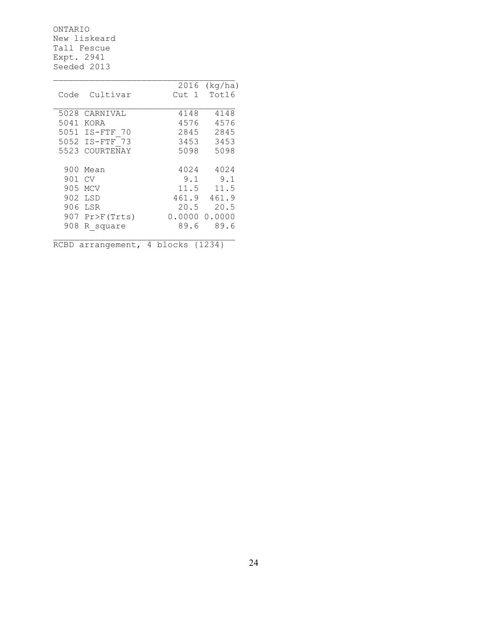ONTARIO New liskeard Tall Fescue Expt. 2941 Seeded 2013

|      |                | 2016   | (kq/ha) |
|------|----------------|--------|---------|
| Code | Cultivar       | Cut 1  | Tot16   |
|      |                |        |         |
| 5028 | CARNIVAL       | 4148   | 4148    |
| 5041 | KORA           | 4576   | 4576    |
|      | 5051 IS-FTF 70 | 2845   | 2845    |
| 5052 | IS-FTF 73      | 3453   | 3453    |
| 5523 | COURTENAY      | 5098   | 5098    |
|      |                |        |         |
|      | 900 Mean       | 4024   | 4024    |
| 901  | CV             | 9.1    | 9.1     |
| 905  | <b>MCV</b>     | 11.5   | 11.5    |
| 902  | LSD            | 461.9  | 461.9   |
| 906  | LSR            | 20.5   | 20.5    |
| 907  | Pr>F(Trts)     | 0.0000 | 0.0000  |
| 908  | R square       | 89.6   | 89.6    |
|      |                |        |         |

 $\_$  ,  $\_$  ,  $\_$  ,  $\_$  ,  $\_$  ,  $\_$  ,  $\_$  ,  $\_$  ,  $\_$  ,  $\_$  ,  $\_$  ,  $\_$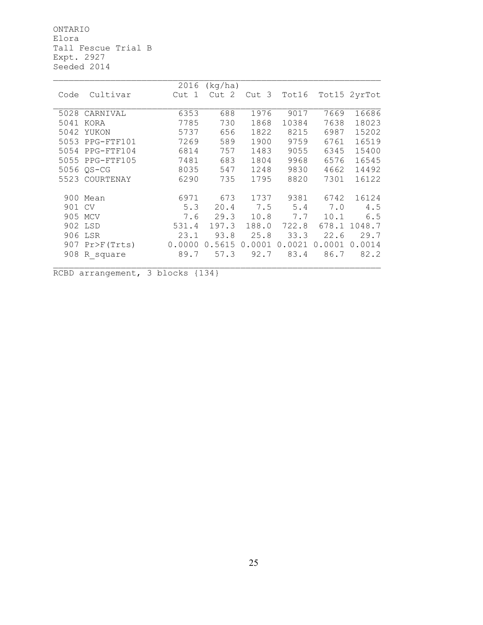ONTARIO Elora Tall Fescue Trial B Expt. 2927 Seeded 2014

|        |                  | 2016   | (kg/ha) |        |        |        |              |
|--------|------------------|--------|---------|--------|--------|--------|--------------|
| Code   | Cultivar         | Cut 1  | Cut 2   | Cut 3  | Tot16  |        | Tot15 2yrTot |
|        |                  |        |         |        |        |        |              |
|        | 5028 CARNIVAL    | 6353   | 688     | 1976   | 9017   | 7669   | 16686        |
| 5041   | KORA             | 7785   | 730     | 1868   | 10384  | 7638   | 18023        |
| 5042   | YUKON            | 5737   | 656     | 1822   | 8215   | 6987   | 15202        |
| 5053   | PPG-FTF101       | 7269   | 589     | 1900   | 9759   | 6761   | 16519        |
| 5054   | PPG-FTF104       | 6814   | 757     | 1483   | 9055   | 6345   | 15400        |
| 5055   | PPG-FTF105       | 7481   | 683     | 1804   | 9968   | 6576   | 16545        |
|        | 5056 OS-CG       | 8035   | 547     | 1248   | 9830   | 4662   | 14492        |
| 5523   | COURTENAY        | 6290   | 735     | 1795   | 8820   | 7301   | 16122        |
|        |                  |        |         |        |        |        |              |
|        | 900 Mean         | 6971   | 673     | 1737   | 9381   | 6742   | 16124        |
| 901 CV |                  | 5.3    | 20.4    | 7.5    | 5.4    | 7.0    | 4.5          |
|        | 905 MCV          | 7.6    | 29.3    | 10.8   | 7.7    | 10.1   | 6.5          |
|        | 902 LSD          | 531.4  | 197.3   | 188.0  | 722.8  | 678.1  | 1048.7       |
|        | 906 LSR          | 23.1   | 93.8    | 25.8   | 33.3   | 22.6   | 29.7         |
|        | $907$ Pr>F(Trts) | 0.0000 | 0.5615  | 0.0001 | 0.0021 | 0.0001 | 0.0014       |
| 908    | R square         | 89.7   | 57.3    | 92.7   | 83.4   | 86.7   | 82.2         |
|        |                  |        |         |        |        |        |              |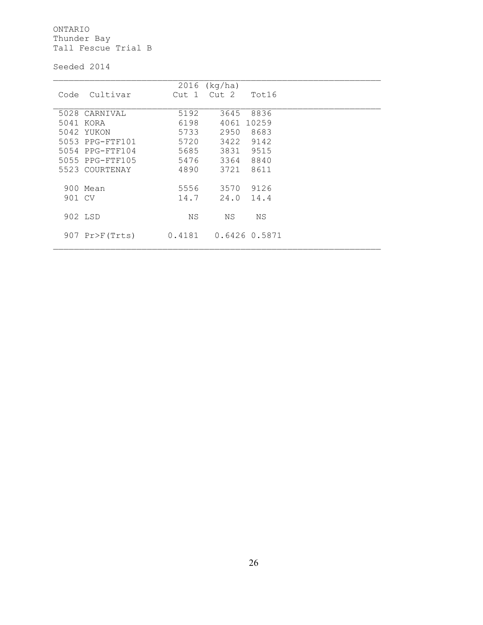ONTARIO Thunder Bay Tall Fescue Trial B

Seeded 2014

|        |                 | 2016   | (kq/ha)          |               |  |
|--------|-----------------|--------|------------------|---------------|--|
| Code   | Cultivar        | Cut 1  | Cut <sub>2</sub> | Tot16         |  |
|        |                 |        |                  |               |  |
|        | 5028 CARNIVAL   | 5192   | 3645             | 8836          |  |
|        | 5041 KORA       | 6198   | 4061             | 10259         |  |
|        | 5042 YUKON      | 5733   | 2950             | 8683          |  |
|        | 5053 PPG-FTF101 | 5720   | 3422 9142        |               |  |
|        | 5054 PPG-FTF104 | 5685   | 3831             | 9515          |  |
|        | 5055 PPG-FTF105 | 5476   | 3364             | 8840          |  |
|        | 5523 COURTENAY  | 4890   | 3721             | 8611          |  |
|        |                 |        |                  |               |  |
|        | 900 Mean        | 5556   | 3570             | 9126          |  |
| 901 CV |                 | 14.7   | 24.0             | 14.4          |  |
|        |                 |        |                  |               |  |
|        | 902 LSD         | ΝS     | ΝS               | ΝS            |  |
|        |                 |        |                  |               |  |
|        | 907 Pr>F(Trts)  | 0.4181 |                  | 0.6426 0.5871 |  |
|        |                 |        |                  |               |  |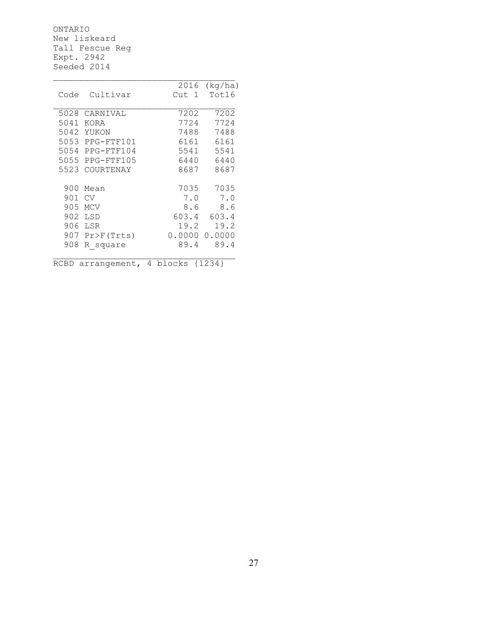ONTARIO New liskeard Tall Fescue Reg Expt. 2942 Seeded 2014

|      |                 | 2016   | (kq/ha) |
|------|-----------------|--------|---------|
| Code | Cultivar        | Cut 1  | Tot16   |
|      |                 |        |         |
| 5028 | CARNIVAL        | 7202   | 7202    |
| 5041 | KORA            | 7724   | 7724    |
| 5042 | YUKON           | 7488   | 7488    |
|      | 5053 PPG-FTF101 | 6161   | 6161    |
|      | 5054 PPG-FTF104 | 5541   | 5541    |
|      | 5055 PPG-FTF105 | 6440   | 6440    |
| 5523 | COURTENAY       | 8687   | 8687    |
|      |                 |        |         |
| 900  | Mean            | 7035   | 7035    |
| 901  | CV              | 7.0    | 7.0     |
| 905  | MCV             | 8.6    | 8.6     |
| 902  | LSD             | 603.4  | 603.4   |
| 906  | LSR             | 19.2   | 19.2    |
| 907  | Pr>F(Trts)      | 0.0000 | 0.0000  |
| 908  | R square        | 89.4   | 89.4    |
|      |                 |        |         |
|      |                 |        |         |

\_\_\_\_\_\_\_\_\_\_\_\_\_\_\_\_\_\_\_\_\_\_\_\_\_\_\_\_\_\_\_\_\_\_\_